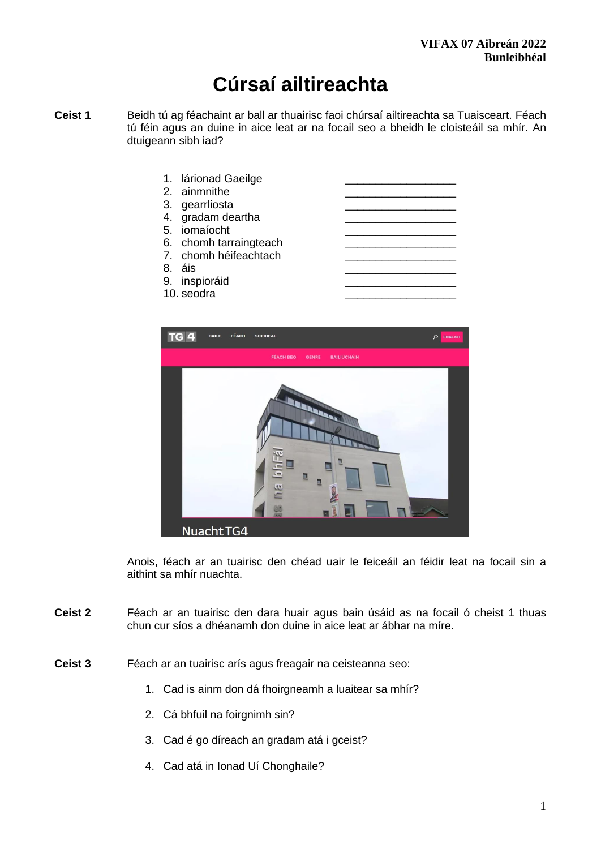# **Cúrsaí ailtireachta**

- **Ceist 1** Beidh tú ag féachaint ar ball ar thuairisc faoi chúrsaí ailtireachta sa Tuaisceart. Féach tú féin agus an duine in aice leat ar na focail seo a bheidh le cloisteáil sa mhír. An dtuigeann sibh iad?
	- 1. lárionad Gaeilge
	- 2. ainmnithe
	- 3. gearrliosta
	- 4. gradam deartha
	- 5. iomaíocht \_\_\_\_\_\_\_\_\_\_\_\_\_\_\_\_\_\_
	- 6. chomh tarraingteach
	- 7. chomh héifeachtach
	-
	- 9. inspioráid
	- 10. seodra





Anois, féach ar an tuairisc den chéad uair le feiceáil an féidir leat na focail sin a aithint sa mhír nuachta.

- **Ceist 2** Féach ar an tuairisc den dara huair agus bain úsáid as na focail ó cheist 1 thuas chun cur síos a dhéanamh don duine in aice leat ar ábhar na míre.
- **Ceist 3** Féach ar an tuairisc arís agus freagair na ceisteanna seo:
	- 1. Cad is ainm don dá fhoirgneamh a luaitear sa mhír?
	- 2. Cá bhfuil na foirgnimh sin?
	- 3. Cad é go díreach an gradam atá i gceist?
	- 4. Cad atá in Ionad Uí Chonghaile?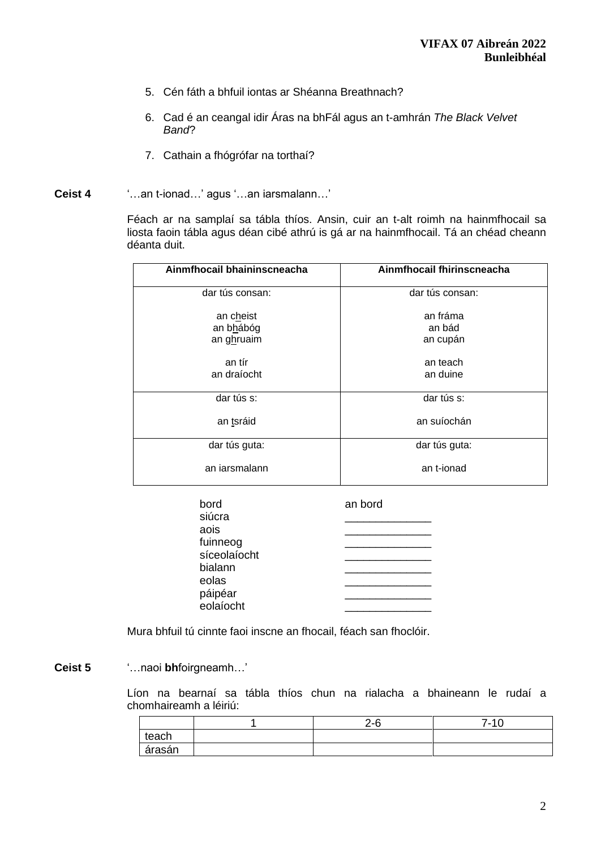- 5. Cén fáth a bhfuil iontas ar Shéanna Breathnach?
- 6. Cad é an ceangal idir Áras na bhFál agus an t-amhrán *The Black Velvet Band*?
- 7. Cathain a fhógrófar na torthaí?
- **Ceist 4** '…an t-ionad…' agus '…an iarsmalann…'

Féach ar na samplaí sa tábla thíos. Ansin, cuir an t-alt roimh na hainmfhocail sa liosta faoin tábla agus déan cibé athrú is gá ar na hainmfhocail. Tá an chéad cheann déanta duit.

| Ainmfhocail bhaininscneacha | Ainmfhocail fhirinscneacha |  |
|-----------------------------|----------------------------|--|
| dar tús consan:             | dar tús consan:            |  |
| an cheist                   | an fráma                   |  |
| an bhábóg                   | an bád                     |  |
| an ghruaim                  | an cupán                   |  |
| an tír                      | an teach                   |  |
| an draíocht                 | an duine                   |  |
| dar tús s:                  | dar tús s:                 |  |
| an tsráid                   | an suíochán                |  |
| dar tús guta:               | dar tús guta:              |  |
| an jarsmalann               | an t-ionad                 |  |

| bord         | an bord |
|--------------|---------|
| siúcra       |         |
| aois         |         |
| fuinneog     |         |
| síceolaíocht |         |
| bialann      |         |
| eolas        |         |
|              |         |
| eolaíocht    |         |
| páipéar      |         |

Mura bhfuil tú cinnte faoi inscne an fhocail, féach san fhoclóir.

### **Ceist 5** '…naoi **bh**foirgneamh…'

Líon na bearnaí sa tábla thíos chun na rialacha a bhaineann le rudaí a chomhaireamh a léiriú:

|        | $2 - 6$ | 7-10 |
|--------|---------|------|
| teach  |         |      |
| árasán |         |      |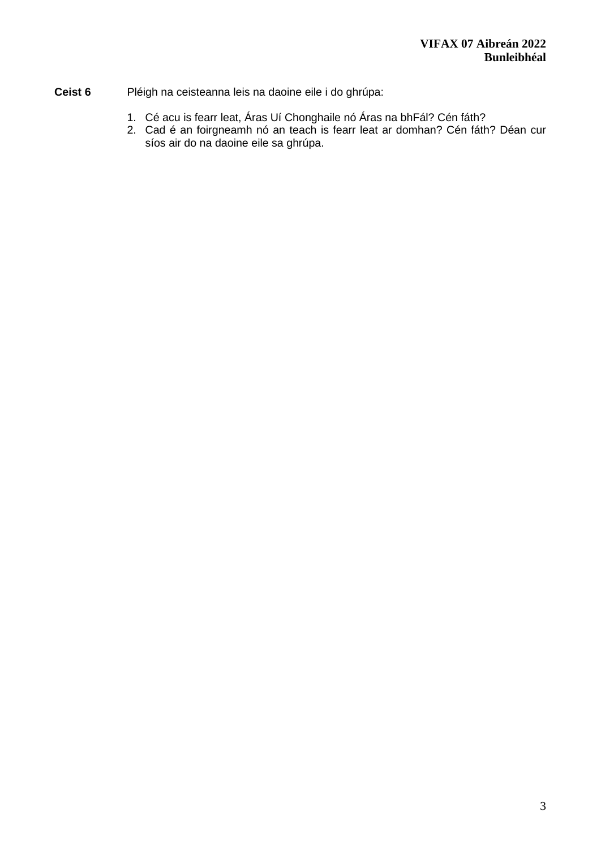- **Ceist 6** Pléigh na ceisteanna leis na daoine eile i do ghrúpa:
	- 1. Cé acu is fearr leat, Áras Uí Chonghaile nó Áras na bhFál? Cén fáth?
	- 2. Cad é an foirgneamh nó an teach is fearr leat ar domhan? Cén fáth? Déan cur síos air do na daoine eile sa ghrúpa.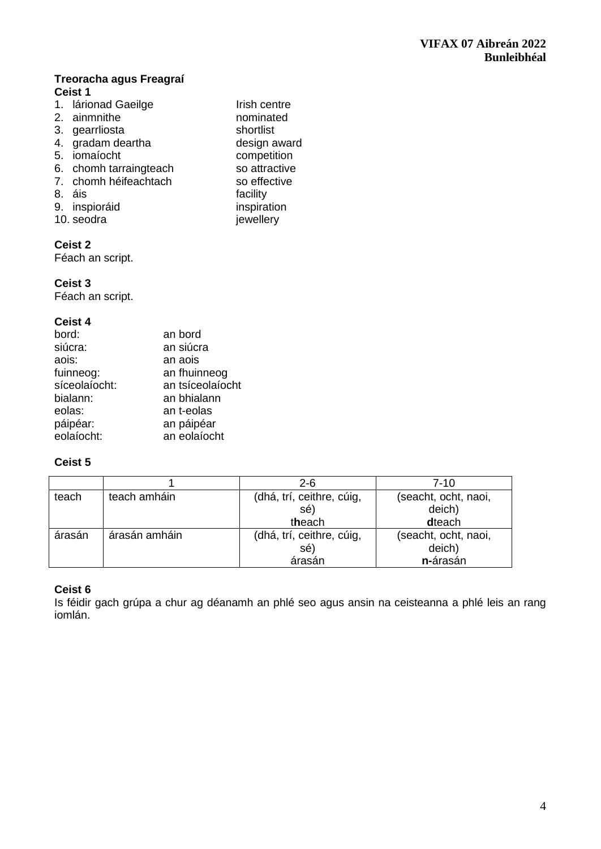## **Treoracha agus Freagraí Ceist 1**

1. lárionad Gaeilge<br>
2. ainmnithe **Irish centre**<br>
2. ainmnithe **Irish** cominated 2. ainmnithe **12.** ainmnithe nominate<br>3. dearrliosta **nominate** 3. gearrliosta<br>4. gradam deartha shortlist<br>4. gradam deartha shortlines shortlist 4. gradam deartha **design award and design award design award design award and design award design award and design award award design award award design award award design award award design award award award award award** 5. iomaíocht<br>6. chomh tarraingteach<br>6. chomh tarraingteach<br>6. competition 6. chomh tarraingteach so attractive<br>
7. chomh héifeachtach so effective 7. chomh héifeachtach 8. áis facility 9. inspioráid inspiration<br>10. seodra iewellery 10. seodra

### **Ceist 2**

Féach an script.

# **Ceist 3**

Féach an script.

# **Ceist 4**

| bord:         | an bord          |
|---------------|------------------|
| siúcra:       | an siúcra        |
| aois:         | an aois          |
| fuinneog:     | an fhuinneog     |
| síceolaíocht: | an tsíceolaíocht |
| bialann:      | an bhialann      |
| eolas:        | an t-eolas       |
| páipéar:      | an páipéar       |
| eolaíocht:    | an eolaíocht     |

# **Ceist 5**

|        |               | $2 - 6$                   | 7-10                 |
|--------|---------------|---------------------------|----------------------|
| teach  | teach amháin  | (dhá, trí, ceithre, cúig, | (seacht, ocht, naoi, |
|        |               | sé)                       | deich)               |
|        |               | theach                    | dteach               |
| árasán | árasán amháin | (dhá, trí, ceithre, cúig, | (seacht, ocht, naoi, |
|        |               | sé)                       | deich)               |
|        |               | árasán                    | n-árasán             |

# **Ceist 6**

Is féidir gach grúpa a chur ag déanamh an phlé seo agus ansin na ceisteanna a phlé leis an rang iomlán.